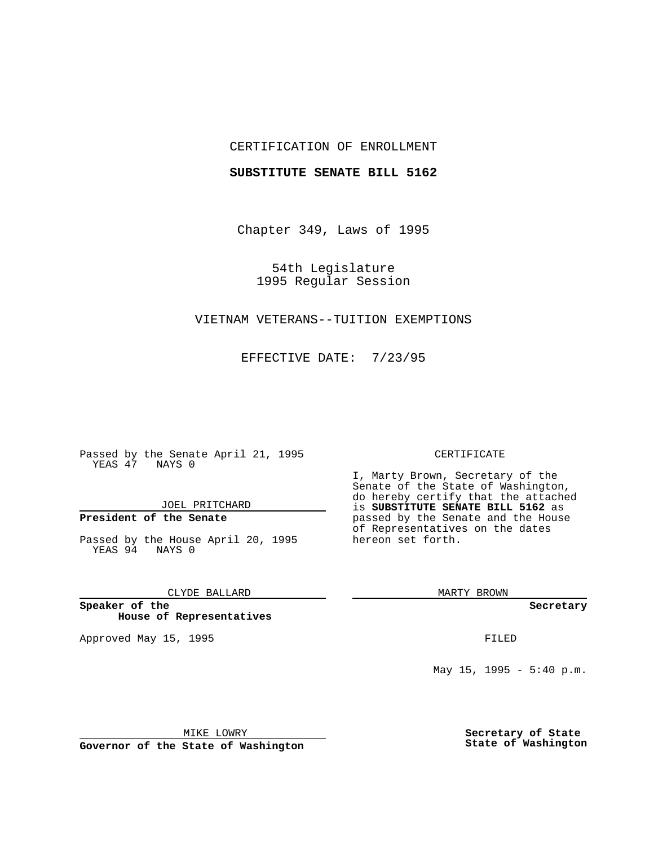## CERTIFICATION OF ENROLLMENT

#### **SUBSTITUTE SENATE BILL 5162**

Chapter 349, Laws of 1995

54th Legislature 1995 Regular Session

## VIETNAM VETERANS--TUITION EXEMPTIONS

EFFECTIVE DATE: 7/23/95

Passed by the Senate April 21, 1995 YEAS 47 NAYS 0

JOEL PRITCHARD

# **President of the Senate**

Passed by the House April 20, 1995 YEAS 94 NAYS 0

CLYDE BALLARD

**Speaker of the House of Representatives**

Approved May 15, 1995 FILED

#### CERTIFICATE

I, Marty Brown, Secretary of the Senate of the State of Washington, do hereby certify that the attached is **SUBSTITUTE SENATE BILL 5162** as passed by the Senate and the House of Representatives on the dates hereon set forth.

MARTY BROWN

**Secretary**

May  $15$ ,  $1995 - 5:40$  p.m.

MIKE LOWRY

**Governor of the State of Washington**

**Secretary of State State of Washington**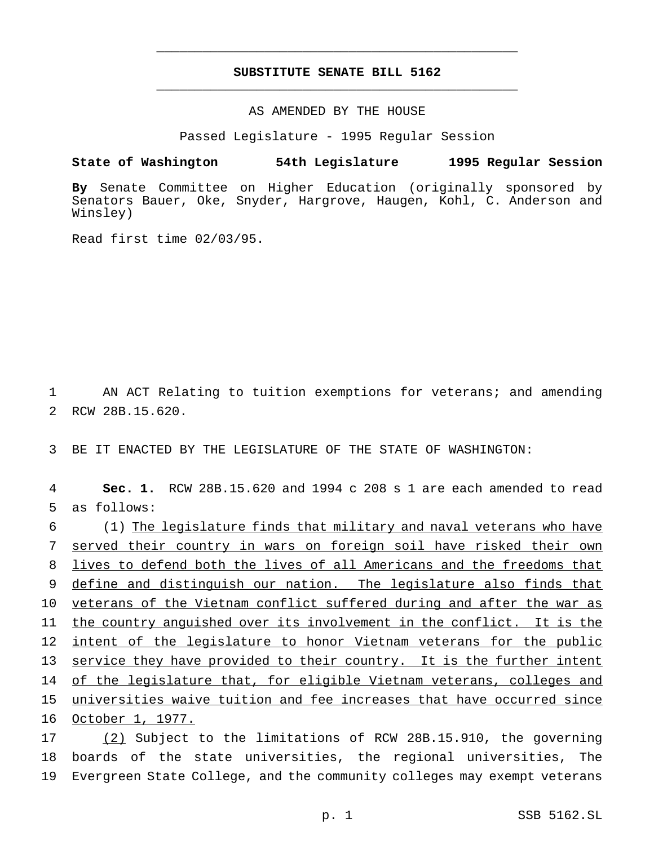## **SUBSTITUTE SENATE BILL 5162** \_\_\_\_\_\_\_\_\_\_\_\_\_\_\_\_\_\_\_\_\_\_\_\_\_\_\_\_\_\_\_\_\_\_\_\_\_\_\_\_\_\_\_\_\_\_\_

\_\_\_\_\_\_\_\_\_\_\_\_\_\_\_\_\_\_\_\_\_\_\_\_\_\_\_\_\_\_\_\_\_\_\_\_\_\_\_\_\_\_\_\_\_\_\_

## AS AMENDED BY THE HOUSE

Passed Legislature - 1995 Regular Session

#### **State of Washington 54th Legislature 1995 Regular Session**

**By** Senate Committee on Higher Education (originally sponsored by Senators Bauer, Oke, Snyder, Hargrove, Haugen, Kohl, C. Anderson and Winsley)

Read first time 02/03/95.

1 AN ACT Relating to tuition exemptions for veterans; and amending 2 RCW 28B.15.620.

3 BE IT ENACTED BY THE LEGISLATURE OF THE STATE OF WASHINGTON:

4 **Sec. 1.** RCW 28B.15.620 and 1994 c 208 s 1 are each amended to read 5 as follows:

 (1) The legislature finds that military and naval veterans who have served their country in wars on foreign soil have risked their own lives to defend both the lives of all Americans and the freedoms that 9 define and distinguish our nation. The legislature also finds that veterans of the Vietnam conflict suffered during and after the war as the country anguished over its involvement in the conflict. It is the intent of the legislature to honor Vietnam veterans for the public service they have provided to their country. It is the further intent 14 of the legislature that, for eligible Vietnam veterans, colleges and universities waive tuition and fee increases that have occurred since October 1, 1977.

17 (2) Subject to the limitations of RCW 28B.15.910, the governing 18 boards of the state universities, the regional universities, The 19 Evergreen State College, and the community colleges may exempt veterans